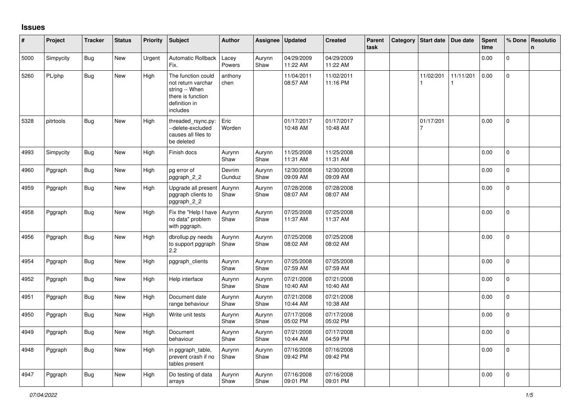## **Issues**

| #    | Project   | <b>Tracker</b> | <b>Status</b> | <b>Priority</b> | Subject                                                                                                      | Author           | Assignee       | <b>Updated</b>         | <b>Created</b>         | Parent<br>task | Category   Start date   Due date |           | Spent<br>time | % Done         | Resolutio<br>$\mathsf{n}$ |
|------|-----------|----------------|---------------|-----------------|--------------------------------------------------------------------------------------------------------------|------------------|----------------|------------------------|------------------------|----------------|----------------------------------|-----------|---------------|----------------|---------------------------|
| 5000 | Simpycity | <b>Bug</b>     | New           | Urgent          | Automatic Rollback<br>Fix.                                                                                   | Lacey<br>Powers  | Aurynn<br>Shaw | 04/29/2009<br>11:22 AM | 04/29/2009<br>11:22 AM |                |                                  |           | 0.00          | $\Omega$       |                           |
| 5260 | PL/php    | <b>Bug</b>     | New           | High            | The function could<br>not return varchar<br>string -- When<br>there is function<br>definition in<br>includes | anthony<br>chen  |                | 11/04/2011<br>08:57 AM | 11/02/2011<br>11:16 PM |                | 11/02/201                        | 11/11/201 | 0.00          | $\pmb{0}$      |                           |
| 5328 | pitrtools | <b>Bug</b>     | New           | High            | threaded_rsync.py:<br>--delete-excluded<br>causes all files to<br>be deleted                                 | Eric<br>Worden   |                | 01/17/2017<br>10:48 AM | 01/17/2017<br>10:48 AM |                | 01/17/201<br>7                   |           | 0.00          | 0              |                           |
| 4993 | Simpycity | <b>Bug</b>     | New           | High            | Finish docs                                                                                                  | Aurynn<br>Shaw   | Aurynn<br>Shaw | 11/25/2008<br>11:31 AM | 11/25/2008<br>11:31 AM |                |                                  |           | 0.00          | $\overline{0}$ |                           |
| 4960 | Pggraph   | <b>Bug</b>     | <b>New</b>    | High            | pg error of<br>pggraph_2_2                                                                                   | Devrim<br>Gunduz | Aurynn<br>Shaw | 12/30/2008<br>09:09 AM | 12/30/2008<br>09:09 AM |                |                                  |           | 0.00          | $\mathbf 0$    |                           |
| 4959 | Pggraph   | <b>Bug</b>     | <b>New</b>    | High            | Upgrade all present<br>pggraph clients to<br>pggraph_2_2                                                     | Aurynn<br>Shaw   | Aurynn<br>Shaw | 07/28/2008<br>08:07 AM | 07/28/2008<br>08:07 AM |                |                                  |           | 0.00          | $\overline{0}$ |                           |
| 4958 | Pggraph   | <b>Bug</b>     | New           | High            | Fix the "Help I have<br>no data" problem<br>with pggraph.                                                    | Aurynn<br>Shaw   | Aurynn<br>Shaw | 07/25/2008<br>11:37 AM | 07/25/2008<br>11:37 AM |                |                                  |           | 0.00          | $\mathbf{0}$   |                           |
| 4956 | Pggraph   | <b>Bug</b>     | New           | High            | dbrollup.py needs<br>to support pggraph<br>2.2                                                               | Aurynn<br>Shaw   | Aurynn<br>Shaw | 07/25/2008<br>08:02 AM | 07/25/2008<br>08:02 AM |                |                                  |           | 0.00          | $\Omega$       |                           |
| 4954 | Pggraph   | <b>Bug</b>     | New           | High            | pggraph_clients                                                                                              | Aurynn<br>Shaw   | Aurynn<br>Shaw | 07/25/2008<br>07:59 AM | 07/25/2008<br>07:59 AM |                |                                  |           | 0.00          | 0              |                           |
| 4952 | Pggraph   | Bug            | New           | High            | Help interface                                                                                               | Aurynn<br>Shaw   | Aurynn<br>Shaw | 07/21/2008<br>10:40 AM | 07/21/2008<br>10:40 AM |                |                                  |           | 0.00          | 0              |                           |
| 4951 | Pggraph   | <b>Bug</b>     | <b>New</b>    | High            | Document date<br>range behaviour                                                                             | Aurynn<br>Shaw   | Aurynn<br>Shaw | 07/21/2008<br>10:44 AM | 07/21/2008<br>10:38 AM |                |                                  |           | 0.00          | $\mathbf{0}$   |                           |
| 4950 | Pggraph   | <b>Bug</b>     | <b>New</b>    | High            | Write unit tests                                                                                             | Aurynn<br>Shaw   | Aurynn<br>Shaw | 07/17/2008<br>05:02 PM | 07/17/2008<br>05:02 PM |                |                                  |           | 0.00          | $\mathbf{0}$   |                           |
| 4949 | Pggraph   | <b>Bug</b>     | <b>New</b>    | High            | Document<br>behaviour                                                                                        | Aurynn<br>Shaw   | Aurynn<br>Shaw | 07/21/2008<br>10:44 AM | 07/17/2008<br>04:59 PM |                |                                  |           | 0.00          | $\overline{0}$ |                           |
| 4948 | Pggraph   | <b>Bug</b>     | New           | High            | in pggraph_table,<br>prevent crash if no<br>tables present                                                   | Aurynn<br>Shaw   | Aurynn<br>Shaw | 07/16/2008<br>09:42 PM | 07/16/2008<br>09:42 PM |                |                                  |           | 0.00          | $\Omega$       |                           |
| 4947 | Pggraph   | <b>Bug</b>     | New           | High            | Do testing of data<br>arrays                                                                                 | Aurynn<br>Shaw   | Aurynn<br>Shaw | 07/16/2008<br>09:01 PM | 07/16/2008<br>09:01 PM |                |                                  |           | 0.00          | $\overline{0}$ |                           |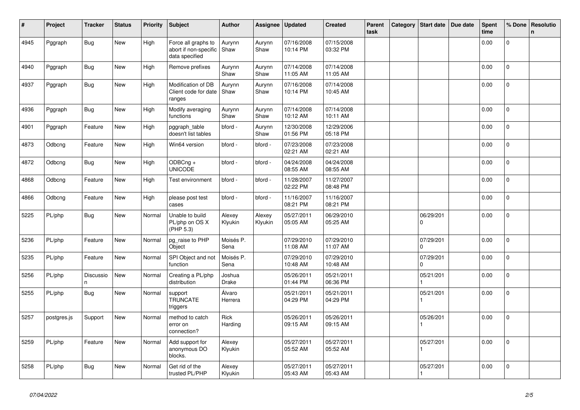| #    | Project     | <b>Tracker</b> | <b>Status</b> | <b>Priority</b> | Subject                                                        | <b>Author</b>     | Assignee          | <b>Updated</b>         | <b>Created</b>         | Parent<br>task | Category | Start date               | Due date | <b>Spent</b><br>time | % Done         | Resolutio<br>$\mathbf n$ |
|------|-------------|----------------|---------------|-----------------|----------------------------------------------------------------|-------------------|-------------------|------------------------|------------------------|----------------|----------|--------------------------|----------|----------------------|----------------|--------------------------|
| 4945 | Pggraph     | <b>Bug</b>     | New           | High            | Force all graphs to<br>abort if non-specific<br>data specified | Aurynn<br>Shaw    | Aurynn<br>Shaw    | 07/16/2008<br>10:14 PM | 07/15/2008<br>03:32 PM |                |          |                          |          | 0.00                 | $\mathbf 0$    |                          |
| 4940 | Pggraph     | Bug            | New           | High            | Remove prefixes                                                | Aurynn<br>Shaw    | Aurynn<br>Shaw    | 07/14/2008<br>11:05 AM | 07/14/2008<br>11:05 AM |                |          |                          |          | 0.00                 | $\Omega$       |                          |
| 4937 | Pggraph     | Bug            | New           | High            | Modification of DB<br>Client code for date<br>ranges           | Aurynn<br>Shaw    | Aurynn<br>Shaw    | 07/16/2008<br>10:14 PM | 07/14/2008<br>10:45 AM |                |          |                          |          | 0.00                 | $\mathbf 0$    |                          |
| 4936 | Pggraph     | <b>Bug</b>     | New           | High            | Modify averaging<br>functions                                  | Aurynn<br>Shaw    | Aurynn<br>Shaw    | 07/14/2008<br>10:12 AM | 07/14/2008<br>10:11 AM |                |          |                          |          | 0.00                 | $\Omega$       |                          |
| 4901 | Pggraph     | Feature        | New           | High            | pggraph_table<br>doesn't list tables                           | bford -           | Aurynn<br>Shaw    | 12/30/2008<br>01:56 PM | 12/29/2006<br>05:18 PM |                |          |                          |          | 0.00                 | $\overline{0}$ |                          |
| 4873 | Odbcng      | Feature        | New           | High            | Win64 version                                                  | bford -           | bford -           | 07/23/2008<br>02:21 AM | 07/23/2008<br>02:21 AM |                |          |                          |          | 0.00                 | 0              |                          |
| 4872 | Odbcng      | <b>Bug</b>     | New           | High            | ODBCng +<br><b>UNICODE</b>                                     | bford -           | bford -           | 04/24/2008<br>08:55 AM | 04/24/2008<br>08:55 AM |                |          |                          |          | 0.00                 | $\mathbf{0}$   |                          |
| 4868 | Odbcng      | Feature        | New           | High            | Test environment                                               | bford -           | bford -           | 11/28/2007<br>02:22 PM | 11/27/2007<br>08:48 PM |                |          |                          |          | 0.00                 | 0              |                          |
| 4866 | Odbcng      | Feature        | New           | High            | please post test<br>cases                                      | bford -           | bford -           | 11/16/2007<br>08:21 PM | 11/16/2007<br>08:21 PM |                |          |                          |          | 0.00                 | 0              |                          |
| 5225 | PL/php      | <b>Bug</b>     | New           | Normal          | Unable to build<br>PL/php on OS X<br>(PHP 5.3)                 | Alexey<br>Klyukin | Alexey<br>Klyukin | 05/27/2011<br>05:05 AM | 06/29/2010<br>05:25 AM |                |          | 06/29/201<br>$\mathbf 0$ |          | 0.00                 | $\mathbf 0$    |                          |
| 5236 | PL/php      | Feature        | New           | Normal          | pg_raise to PHP<br>Object                                      | Moisés P.<br>Sena |                   | 07/29/2010<br>11:08 AM | 07/29/2010<br>11:07 AM |                |          | 07/29/201<br>$\Omega$    |          | 0.00                 | $\mathbf{0}$   |                          |
| 5235 | PL/php      | Feature        | New           | Normal          | SPI Object and not<br>function                                 | Moisés P.<br>Sena |                   | 07/29/2010<br>10:48 AM | 07/29/2010<br>10:48 AM |                |          | 07/29/201<br>$\Omega$    |          | 0.00                 | $\mathbf 0$    |                          |
| 5256 | PL/php      | Discussio<br>n | New           | Normal          | Creating a PL/php<br>distribution                              | Joshua<br>Drake   |                   | 05/26/2011<br>01:44 PM | 05/21/2011<br>06:36 PM |                |          | 05/21/201                |          | 0.00                 | $\overline{0}$ |                          |
| 5255 | PL/php      | <b>Bug</b>     | New           | Normal          | support<br><b>TRUNCATE</b><br>triggers                         | Álvaro<br>Herrera |                   | 05/21/2011<br>04:29 PM | 05/21/2011<br>04:29 PM |                |          | 05/21/201                |          | 0.00                 | $\overline{0}$ |                          |
| 5257 | postgres.js | Support        | New           | Normal          | method to catch<br>error on<br>connection?                     | Rick<br>Harding   |                   | 05/26/2011<br>09:15 AM | 05/26/2011<br>09:15 AM |                |          | 05/26/201                |          | 0.00                 | 0              |                          |
| 5259 | PL/php      | Feature        | New           | Normal          | Add support for<br>anonymous DO<br>blocks.                     | Alexey<br>Klyukin |                   | 05/27/2011<br>05:52 AM | 05/27/2011<br>05:52 AM |                |          | 05/27/201                |          | 0.00                 | $\Omega$       |                          |
| 5258 | PL/php      | Bug            | New           | Normal          | Get rid of the<br>trusted PL/PHP                               | Alexey<br>Klyukin |                   | 05/27/2011<br>05:43 AM | 05/27/2011<br>05:43 AM |                |          | 05/27/201                |          | 0.00                 | $\overline{0}$ |                          |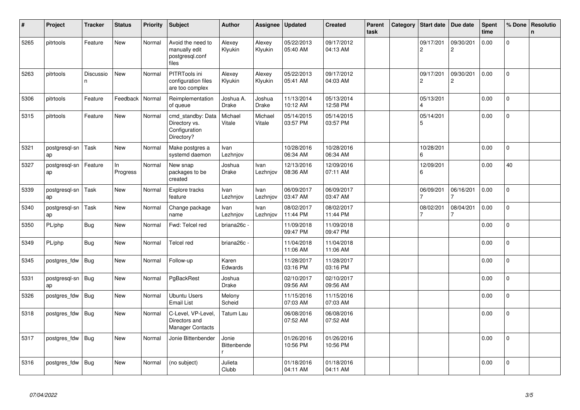| #    | Project             | <b>Tracker</b>  | <b>Status</b>   | <b>Priority</b> | <b>Subject</b>                                                    | <b>Author</b>                    | Assignee                | <b>Updated</b>         | <b>Created</b>         | Parent<br>task | Category | <b>Start date</b>           | Due date                    | Spent<br>time | % Done      | <b>Resolutio</b><br>n |
|------|---------------------|-----------------|-----------------|-----------------|-------------------------------------------------------------------|----------------------------------|-------------------------|------------------------|------------------------|----------------|----------|-----------------------------|-----------------------------|---------------|-------------|-----------------------|
| 5265 | pitrtools           | Feature         | New             | Normal          | Avoid the need to<br>manually edit<br>postgresgl.conf<br>files    | Alexey<br>Klyukin                | Alexey<br>Klyukin       | 05/22/2013<br>05:40 AM | 09/17/2012<br>04:13 AM |                |          | 09/17/201<br>$\overline{c}$ | 09/30/201<br>$\overline{2}$ | 0.00          | $\mathbf 0$ |                       |
| 5263 | pitrtools           | Discussio<br>n. | <b>New</b>      | Normal          | PITRTools ini<br>configuration files<br>are too complex           | Alexey<br>Klyukin                | Alexey<br>Klyukin       | 05/22/2013<br>05:41 AM | 09/17/2012<br>04:03 AM |                |          | 09/17/201<br>$\overline{c}$ | 09/30/201<br>$\overline{2}$ | 0.00          | $\mathbf 0$ |                       |
| 5306 | pitrtools           | Feature         | Feedback        | Normal          | Reimplementation<br>of queue                                      | Joshua A.<br>Drake               | Joshua<br>Drake         | 11/13/2014<br>10:12 AM | 05/13/2014<br>12:58 PM |                |          | 05/13/201<br>$\Delta$       |                             | 0.00          | $\mathbf 0$ |                       |
| 5315 | pitrtools           | Feature         | New             | Normal          | cmd_standby: Data<br>Directory vs.<br>Configuration<br>Directory? | Michael<br>Vitale                | Michael<br>Vitale       | 05/14/2015<br>03:57 PM | 05/14/2015<br>03:57 PM |                |          | 05/14/201<br>5              |                             | 0.00          | $\mathbf 0$ |                       |
| 5321 | postgresql-sn<br>ap | Task            | New             | Normal          | Make postgres a<br>systemd daemon                                 | Ivan<br>Lezhnjov                 |                         | 10/28/2016<br>06:34 AM | 10/28/2016<br>06:34 AM |                |          | 10/28/201<br>6              |                             | 0.00          | $\Omega$    |                       |
| 5327 | postgresql-sn<br>ap | Feature         | In.<br>Progress | Normal          | New snap<br>packages to be<br>created                             | Joshua<br><b>Drake</b>           | <b>Ivan</b><br>Lezhnjov | 12/13/2016<br>08:36 AM | 12/09/2016<br>07:11 AM |                |          | 12/09/201<br>6              |                             | 0.00          | 40          |                       |
| 5339 | postgresql-sn<br>ap | Task            | New             | Normal          | Explore tracks<br>feature                                         | Ivan<br>Lezhnjov                 | Ivan<br>Lezhnjov        | 06/09/2017<br>03:47 AM | 06/09/2017<br>03:47 AM |                |          | 06/09/201                   | 06/16/201                   | 0.00          | $\mathbf 0$ |                       |
| 5340 | postgresql-sn<br>ap | Task            | New             | Normal          | Change package<br>name                                            | Ivan<br>Lezhnjov                 | Ivan<br>Lezhnjov        | 08/02/2017<br>11:44 PM | 08/02/2017<br>11:44 PM |                |          | 08/02/201<br>$\overline{7}$ | 08/04/201                   | 0.00          | $\mathbf 0$ |                       |
| 5350 | PL/php              | Bug             | New             | Normal          | Fwd: Telcel red                                                   | briana26c ·                      |                         | 11/09/2018<br>09:47 PM | 11/09/2018<br>09:47 PM |                |          |                             |                             | 0.00          | $\mathbf 0$ |                       |
| 5349 | PL/php              | Bug             | New             | Normal          | Telcel red                                                        | briana26c -                      |                         | 11/04/2018<br>11:06 AM | 11/04/2018<br>11:06 AM |                |          |                             |                             | 0.00          | $\Omega$    |                       |
| 5345 | postgres_fdw        | Bug             | New             | Normal          | Follow-up                                                         | Karen<br>Edwards                 |                         | 11/28/2017<br>03:16 PM | 11/28/2017<br>03:16 PM |                |          |                             |                             | 0.00          | $\Omega$    |                       |
| 5331 | postgresgl-sn<br>ap | Bug             | New             | Normal          | PgBackRest                                                        | Joshua<br>Drake                  |                         | 02/10/2017<br>09:56 AM | 02/10/2017<br>09:56 AM |                |          |                             |                             | 0.00          | $\mathbf 0$ |                       |
| 5326 | postgres_fdw        | Bug             | New             | Normal          | Ubuntu Users<br>Email List                                        | Melony<br>Scheid                 |                         | 11/15/2016<br>07:03 AM | 11/15/2016<br>07:03 AM |                |          |                             |                             | 0.00          | 0           |                       |
| 5318 | postgres fdw        | Bug             | New             | Normal          | C-Level, VP-Level,<br>Directors and<br>Manager Contacts           | Tatum Lau                        |                         | 06/08/2016<br>07:52 AM | 06/08/2016<br>07:52 AM |                |          |                             |                             | 0.00          | $\Omega$    |                       |
| 5317 | postgres fdw        | Bug             | New             | Normal          | Jonie Bittenbender                                                | Jonie<br><b>Bittenbende</b><br>r |                         | 01/26/2016<br>10:56 PM | 01/26/2016<br>10:56 PM |                |          |                             |                             | 0.00          | $\Omega$    |                       |
| 5316 | postgres_fdw        | Bug             | New             | Normal          | (no subject)                                                      | Julieta<br>Clubb                 |                         | 01/18/2016<br>04:11 AM | 01/18/2016<br>04:11 AM |                |          |                             |                             | 0.00          | $\Omega$    |                       |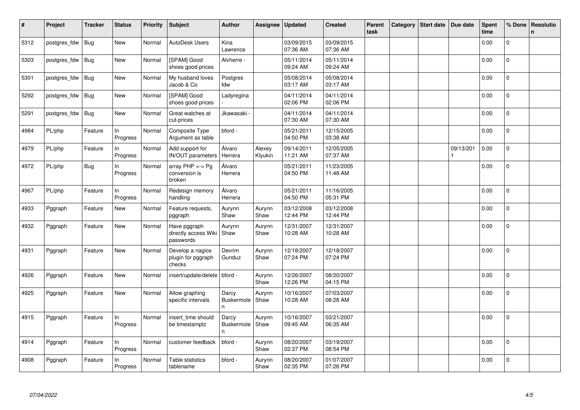| $\pmb{\sharp}$ | Project      | <b>Tracker</b> | <b>Status</b>  | <b>Priority</b> | <b>Subject</b>                                    | <b>Author</b>                   | Assignee          | <b>Updated</b>         | <b>Created</b>         | Parent<br>task | Category | Start date | Due date  | <b>Spent</b><br>time | % Done         | Resolutio<br>$\mathbf n$ |
|----------------|--------------|----------------|----------------|-----------------|---------------------------------------------------|---------------------------------|-------------------|------------------------|------------------------|----------------|----------|------------|-----------|----------------------|----------------|--------------------------|
| 5312           | postgres fdw | Bug            | New            | Normal          | AutoDesk Users                                    | Kina<br>Lawrence                |                   | 03/09/2015<br>07:36 AM | 03/09/2015<br>07:36 AM |                |          |            |           | 0.00                 | 0              |                          |
| 5303           | postgres fdw | <b>Bug</b>     | New            | Normal          | [SPAM] Good<br>shoes good prices                  | Alvherre -                      |                   | 05/11/2014<br>09:24 AM | 05/11/2014<br>09:24 AM |                |          |            |           | 0.00                 | $\pmb{0}$      |                          |
| 5301           | postgres_fdw | <b>Bug</b>     | New            | Normal          | My husband loves<br>Jacob & Co                    | Postgres<br>fdw                 |                   | 05/08/2014<br>03:17 AM | 05/08/2014<br>03:17 AM |                |          |            |           | 0.00                 | $\mathbf 0$    |                          |
| 5292           | postgres fdw | <b>Bug</b>     | New            | Normal          | [SPAM] Good<br>shoes good prices                  | Ladyregina                      |                   | 04/11/2014<br>02:06 PM | 04/11/2014<br>02:06 PM |                |          |            |           | 0.00                 | 0              |                          |
| 5291           | postgres_fdw | <b>Bug</b>     | New            | Normal          | Great watches at<br>cut-prices                    | Jkawasaki -                     |                   | 04/11/2014<br>07:30 AM | 04/11/2014<br>07:30 AM |                |          |            |           | 0.00                 | $\Omega$       |                          |
| 4984           | PL/php       | Feature        | In<br>Progress | Normal          | Composite Type<br>Argument as table               | bford -                         |                   | 05/21/2011<br>04:50 PM | 12/15/2005<br>03:38 AM |                |          |            |           | 0.00                 | $\mathbf{0}$   |                          |
| 4979           | PL/php       | Feature        | In<br>Progress | Normal          | Add support for<br><b>IN/OUT</b> parameters       | Álvaro<br>Herrera               | Alexey<br>Klyukin | 09/14/2011<br>11:21 AM | 12/05/2005<br>07:37 AM |                |          |            | 09/13/201 | 0.00                 | $\mathbf 0$    |                          |
| 4972           | PL/php       | <b>Bug</b>     | In<br>Progress | Normal          | array PHP <-> Pg<br>conversion is<br>broken       | Álvaro<br>Herrera               |                   | 05/21/2011<br>04:50 PM | 11/23/2005<br>11:48 AM |                |          |            |           | 0.00                 | $\Omega$       |                          |
| 4967           | PL/php       | Feature        | In<br>Progress | Normal          | Redesign memory<br>handling                       | Álvaro<br>Herrera               |                   | 05/21/2011<br>04:50 PM | 11/16/2005<br>05:31 PM |                |          |            |           | 0.00                 | $\overline{0}$ |                          |
| 4933           | Pggraph      | Feature        | New            | Normal          | Feature requests,<br>pggraph                      | Aurynn<br>Shaw                  | Aurynn<br>Shaw    | 03/12/2008<br>12:44 PM | 03/12/2008<br>12:44 PM |                |          |            |           | 0.00                 | 0              |                          |
| 4932           | Pggraph      | Feature        | <b>New</b>     | Normal          | Have pggraph<br>directly access Wiki<br>passwords | Aurynn<br>Shaw                  | Aurynn<br>Shaw    | 12/31/2007<br>10:28 AM | 12/31/2007<br>10:28 AM |                |          |            |           | 0.00                 | $\mathbf{0}$   |                          |
| 4931           | Pggraph      | Feature        | <b>New</b>     | Normal          | Develop a nagios<br>plugin for pggraph<br>checks  | Devrim<br>Gunduz                | Aurynn<br>Shaw    | 12/18/2007<br>07:24 PM | 12/18/2007<br>07:24 PM |                |          |            |           | 0.00                 | $\Omega$       |                          |
| 4926           | Pggraph      | Feature        | New            | Normal          | insert/update/delete                              | bford -                         | Aurynn<br>Shaw    | 12/26/2007<br>12:26 PM | 08/20/2007<br>04:15 PM |                |          |            |           | 0.00                 | $\overline{0}$ |                          |
| 4925           | Pggraph      | Feature        | New            | Normal          | Allow graphing<br>specific intervals              | Darcy<br>Buskermole<br>n        | Aurynn<br>Shaw    | 10/16/2007<br>10:28 AM | 07/03/2007<br>08:28 AM |                |          |            |           | 0.00                 | 0              |                          |
| 4915           | Pggraph      | Feature        | In<br>Progress | Normal          | insert time should<br>be timestamptz              | Darcy<br><b>Buskermole</b><br>n | Aurynn<br>Shaw    | 10/16/2007<br>09:45 AM | 03/21/2007<br>06:35 AM |                |          |            |           | 0.00                 | $\overline{0}$ |                          |
| 4914           | Pggraph      | Feature        | In<br>Progress | Normal          | customer feedback                                 | bford -                         | Aurynn<br>Shaw    | 08/20/2007<br>02:37 PM | 03/19/2007<br>08:54 PM |                |          |            |           | 0.00                 | $\mathbf 0$    |                          |
| 4908           | Pggraph      | Feature        | In<br>Progress | Normal          | Table statistics<br>tablename                     | bford -                         | Aurynn<br>Shaw    | 08/20/2007<br>02:35 PM | 01/07/2007<br>07:26 PM |                |          |            |           | 0.00                 | $\Omega$       |                          |